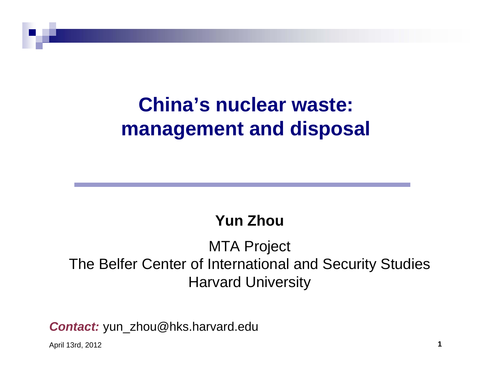### **China's nuclear waste: management and disposal**

#### **Yun Zhou**

#### MTA Project The Belfer Center of International and Security Studies Harvard University

*Contact:* yun\_zhou@hks.harvard.edu

April 13rd, 2012 **1**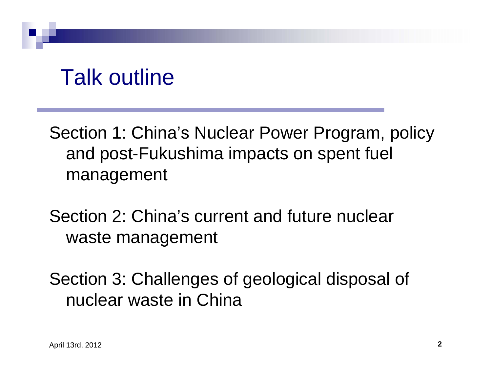## Talk outline

Section 1: China's Nuclear Power Program, policy and post-Fukushima impacts on spent fuel management

Section 2: China's current and future nuclear waste management

Section 3: Challenges of geological disposal of nuclear waste in China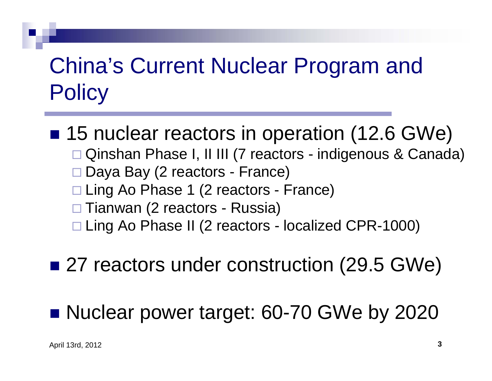# China's Current Nuclear Program and **Policy**

### ■ 15 nuclear reactors in operation (12.6 GWe)

- □ Qinshan Phase I, II III (7 reactors indigenous & Canada)
- □ Daya Bay (2 reactors France)
- □ Ling Ao Phase 1 (2 reactors France)
- □ Tianwan (2 reactors Russia)
- □ Ling Ao Phase II (2 reactors localized CPR-1000)

#### ■ 27 reactors under construction (29.5 GWe)

#### ■ Nuclear power target: 60-70 GWe by 2020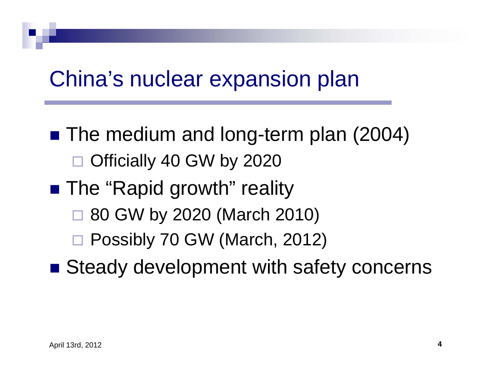### China's nuclear expansion plan

- The medium and long-term plan (2004) Officially 40 GW by 2020
- The "Rapid growth" reality
	- $\Box$ 80 GW by 2020 (March 2010)
	- Possibly 70 GW (March, 2012)
- Steady development with safety concerns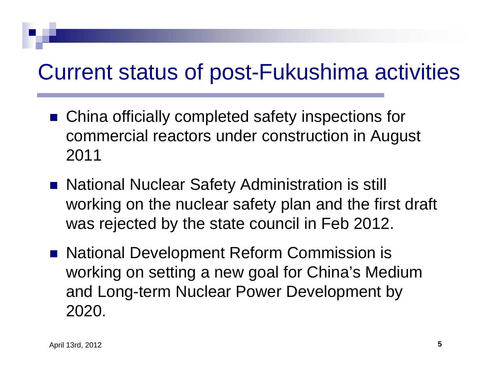## Current status of post-Fukushima activities

- China officially completed safety inspections for commercial reactors under construction in August 2011
- National Nuclear Safety Administration is still working on the nuclear safety plan and the first draft was rejected by the state council in Feb 2012.
- National Development Reform Commission is working on setting a new goal for China's Medium and Long-term Nuclear Power Development by 2020.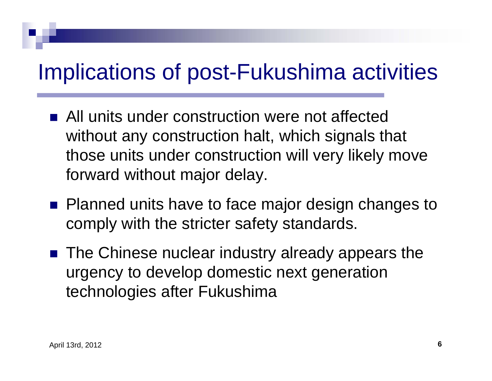## Implications of post-Fukushima activities

- **All units under construction were not affected** without any construction halt, which signals that those units under construction will very likely move forward without major delay.
- **Planned units have to face major design changes to** comply with the stricter safety standards.
- The Chinese nuclear industry already appears the urgency to develop domestic next generation technologies after Fukushima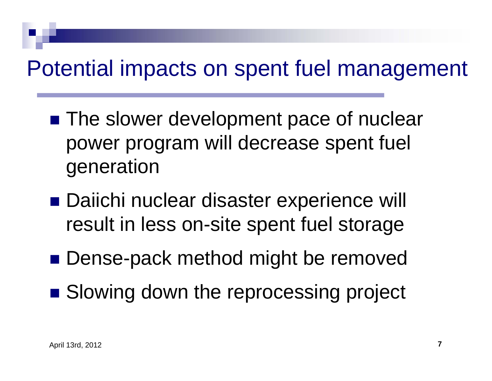## Potential impacts on spent fuel management

- **The slower development pace of nuclear** power program will decrease spent fuel generation
- Daiichi nuclear disaster experience will result in less on-site spent fuel storage
- Dense-pack method might be removed
- **Slowing down the reprocessing project**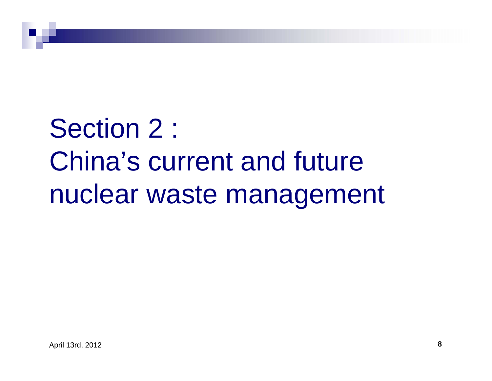# Section 2 : China's current and future nuclear waste management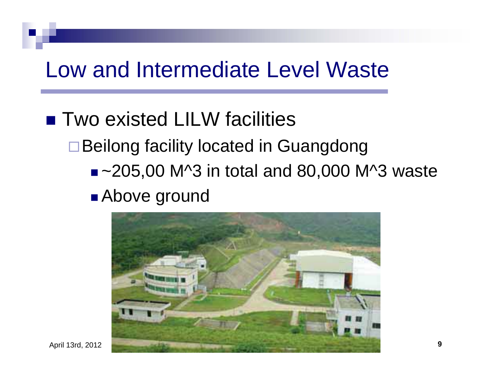### Low and Intermediate Level Waste

#### ■ Two existed LILW facilities

**□Beilong facility located in Guangdong** 

■ ~205,00 M^3 in total and 80,000 M^3 waste

#### ■ Above ground



April 13rd, 2012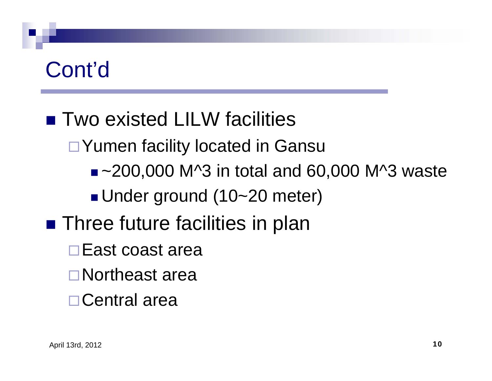#### ■ Two existed LILW facilities

□ Yumen facility located in Gansu

■ ~200,000 M^3 in total and 60,000 M^3 waste

■Under ground (10~20 meter)

- **Three future facilities in plan** 
	- **□East coast area**
	- Northeast area
	- Central area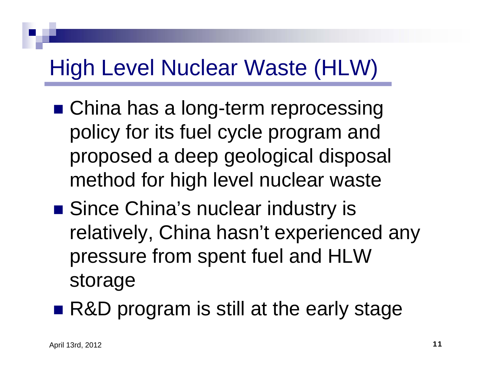### High Level Nuclear Waste (HLW)

- China has a long-term reprocessing policy for its fuel cycle program and proposed a deep geological disposal method for high level nuclear waste
- Since China's nuclear industry is relatively, China hasn't experienced any pressure from spent fuel and HLW storage
- R&D program is still at the early stage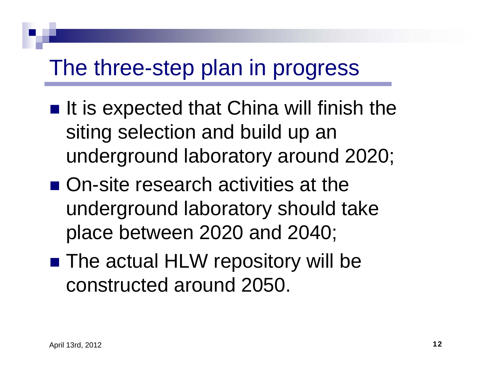### The three-step plan in progress

- $\blacksquare$  It is expected that China will finish the siting selection and build up an underground laboratory around 2020;
- On-site research activities at the underground laboratory should take place between 2020 and 2040;
- The actual HLW repository will be constructed around 2050.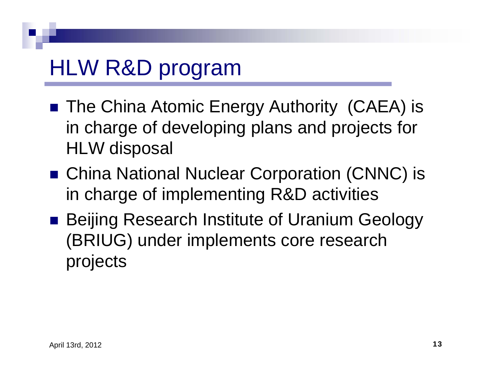# HLW R&D program

- The China Atomic Energy Authority (CAEA) is in charge of developing plans and projects for HLW disposal
- China National Nuclear Corporation (CNNC) is in charge of implementing R&D activities
- Beijing Research Institute of Uranium Geology (BRIUG) under implements core research projects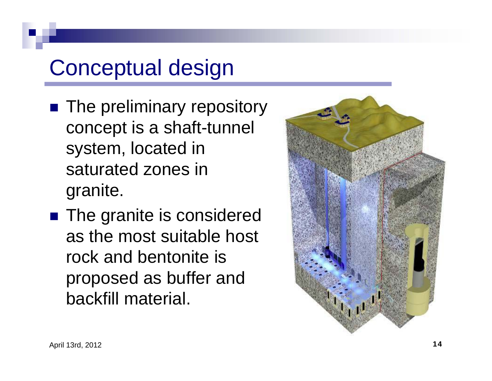## Conceptual design

- **The preliminary repository** concept is a shaft-tunnel system, located in saturated zones in granite.
- **The granite is considered** as the most suitable host rock and bentonite is proposed as buffer and backfill material.

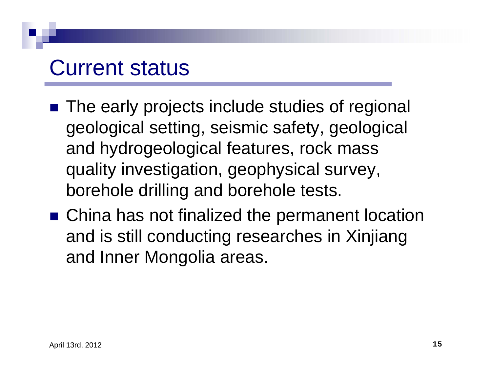#### Current status

- The early projects include studies of regional geological setting, seismic safety, geological and hydrogeological features, rock mass quality investigation, geophysical survey, borehole drilling and borehole tests.
- China has not finalized the permanent location and is still conducting researches in Xinjiang and Inner Mongolia areas.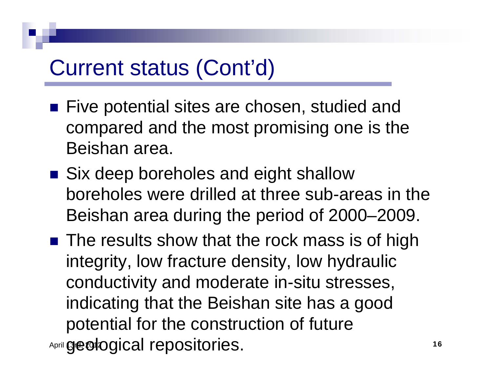### Current status (Cont'd)

- Five potential sites are chosen, studied and compared and the most promising one is the Beishan area.
- Six deep boreholes and eight shallow boreholes were drilled at three sub-areas in the Beishan area during the period of 2000–2009.
- April **geological repositories.** The contract of the contract of the contract of the contract of the contract of the contract of the contract of the contract of the contract of the contract of the contract of the contract ■ The results show that the rock mass is of high integrity, low fracture density, low hydraulic conductivity and moderate in-situ stresses, indicating that the Beishan site has a good potential for the construction of future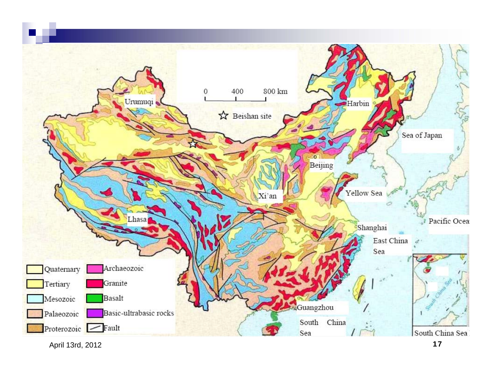

April 13rd, 2012 **17**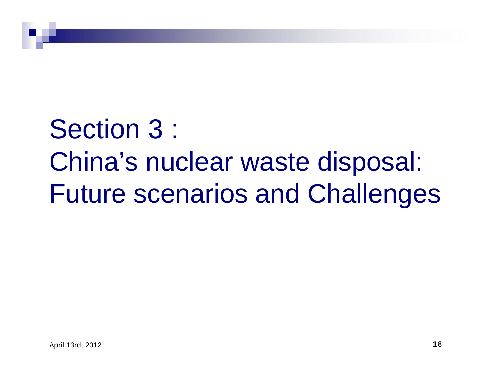# Section 3 : China's nuclear waste disposal: Future scenarios and Challenges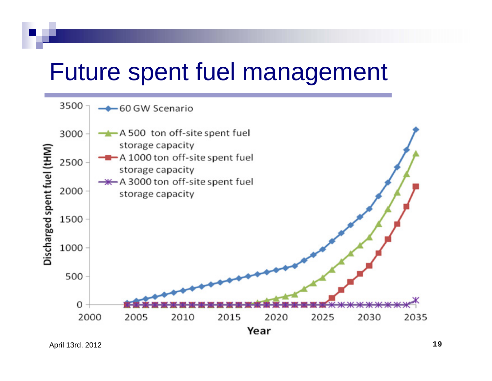# Future spent fuel management

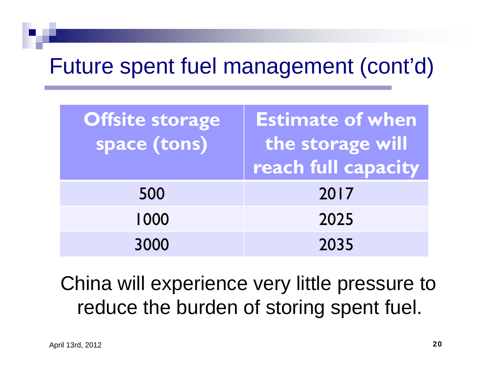## Future spent fuel management (cont'd)

| Offsite storage<br>space (tons) | <b>Estimate of when</b><br>the storage will<br>reach full capacity |
|---------------------------------|--------------------------------------------------------------------|
| 500                             | 2017                                                               |
| 1000                            | 2025                                                               |
| 3000                            | 2035                                                               |

#### China will experience very little pressure to reduce the burden of storing spent fuel.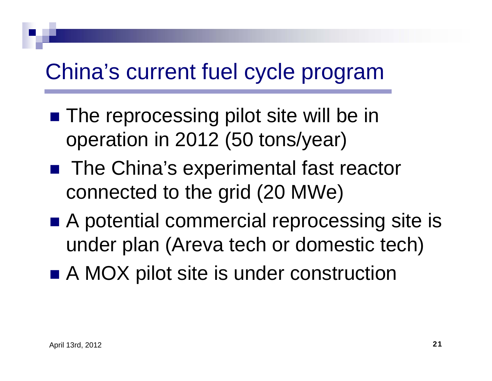# China's current fuel cycle program

- The reprocessing pilot site will be in operation in 2012 (50 tons/year)
- The China's experimental fast reactor connected to the grid (20 MWe)
- A potential commercial reprocessing site is under plan (Areva tech or domestic tech)
- A MOX pilot site is under construction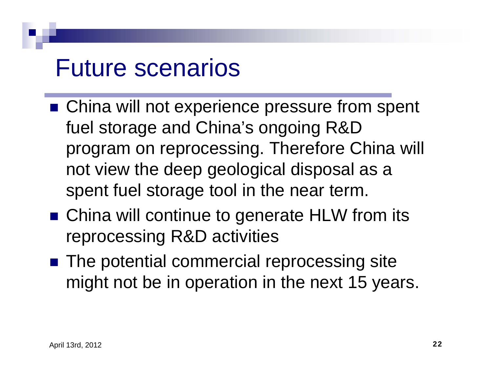# Future scenarios

- China will not experience pressure from spent fuel storage and China's ongoing R&D program on reprocessing. Therefore China will not view the deep geological disposal as a spent fuel storage tool in the near term.
- China will continue to generate HLW from its reprocessing R&D activities
- The potential commercial reprocessing site might not be in operation in the next 15 years.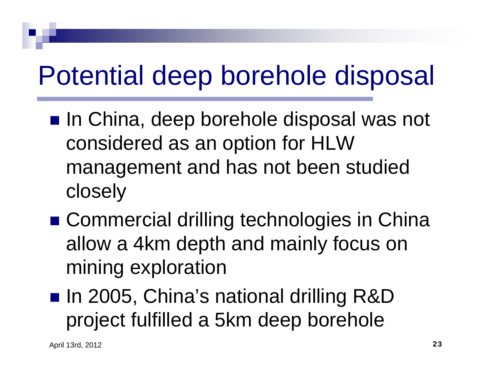# Potential deep borehole disposal

- In China, deep borehole disposal was not considered as an option for HLW management and has not been studied closely
- Commercial drilling technologies in China allow a 4km depth and mainly focus on mining exploration
- In 2005, China's national drilling R&D project fulfilled a 5km deep borehole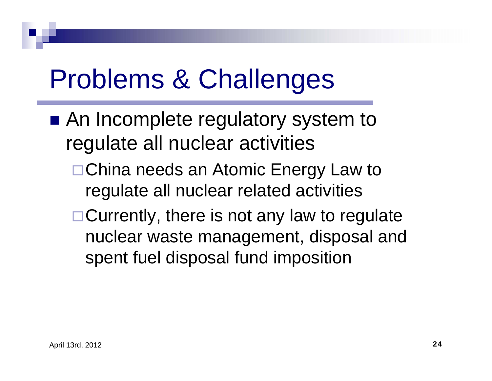# Problems & Challenges

- An Incomplete regulatory system to regulate all nuclear activities
	- □ China needs an Atomic Energy Law to regulate all nuclear related activities
	- $\Box$  Currently, there is not any law to regulate nuclear waste management, disposal and spent fuel disposal fund imposition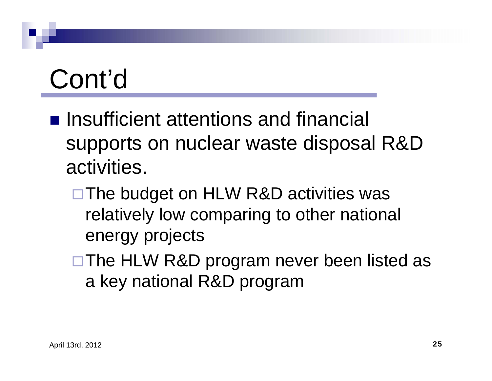$\blacksquare$  Insufficient attentions and financial supports on nuclear waste disposal R&D activities.

□The budget on HLW R&D activities was relatively low comparing to other national energy projects

□ The HLW R&D program never been listed as a key national R&D program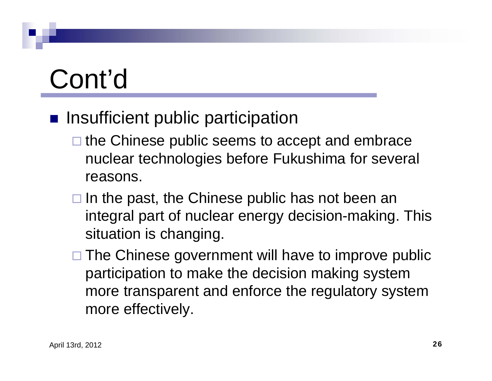#### **n** Insufficient public participation

- $\square$  the Chinese public seems to accept and embrace nuclear technologies before Fukushima for several reasons.
- $\square$  In the past, the Chinese public has not been an integral part of nuclear energy decision-making. This situation is changing.
- □ The Chinese government will have to improve public participation to make the decision making system more transparent and enforce the regulatory system more effectively.